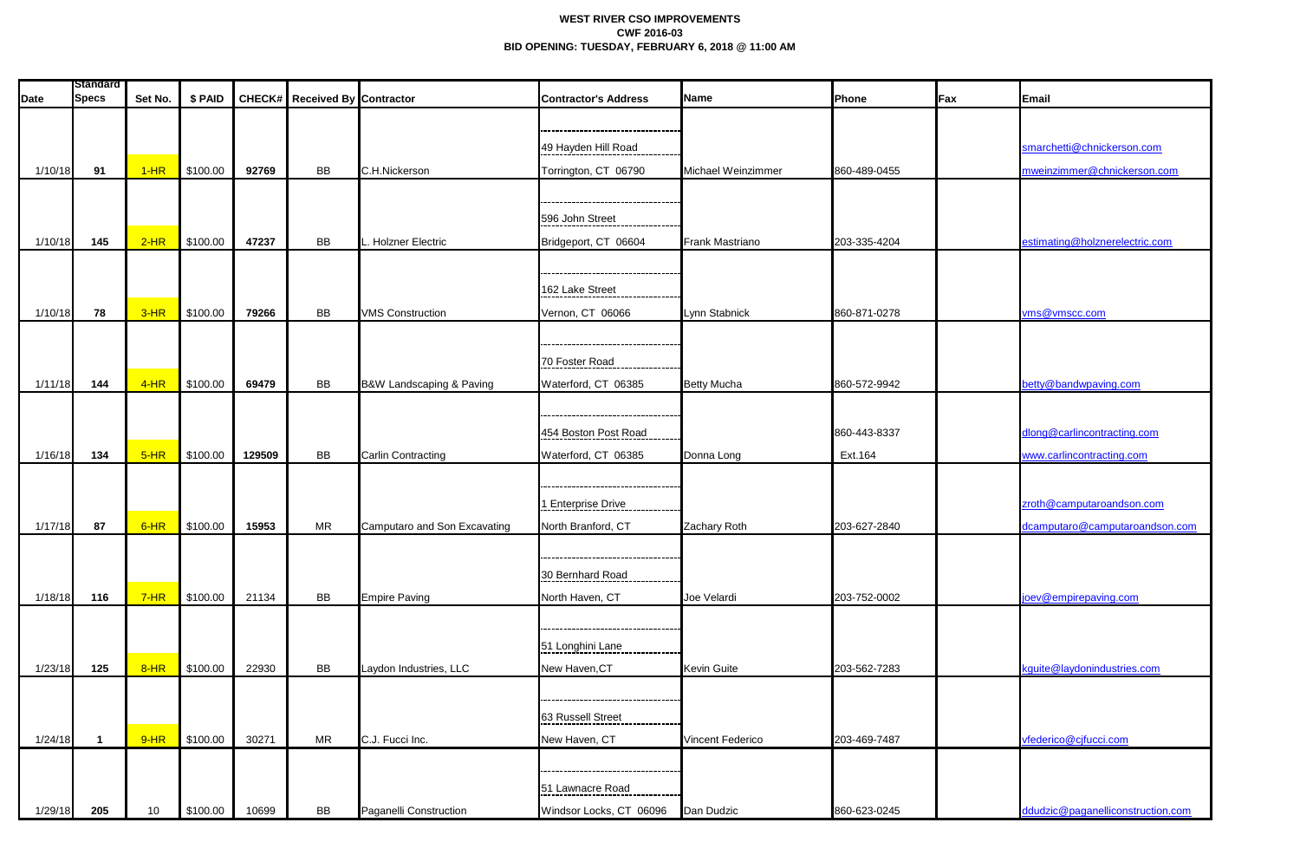## **WEST RIVER CSO IMPROVEMENTS CWF 2016-03 BID OPENING: TUESDAY, FEBRUARY 6, 2018 @ 11:00 AM**

| <b>Date</b> | <b>Standard</b><br><b>Specs</b> | Set No. | \$ PAID  |        | CHECK# Received By Contractor |                              | <b>Contractor's Address</b> | <b>Name</b>             | Phone        | <b>Fax</b> | Email                             |
|-------------|---------------------------------|---------|----------|--------|-------------------------------|------------------------------|-----------------------------|-------------------------|--------------|------------|-----------------------------------|
|             |                                 |         |          |        |                               |                              |                             |                         |              |            |                                   |
|             |                                 |         |          |        |                               |                              |                             |                         |              |            |                                   |
|             |                                 |         |          |        |                               |                              | 49 Hayden Hill Road         |                         |              |            | smarchetti@chnickerson.com        |
| 1/10/18     | 91                              | $1-HR$  | \$100.00 | 92769  | BB                            | C.H.Nickerson                | Torrington, CT 06790        | Michael Weinzimmer      | 860-489-0455 |            | mweinzimmer@chnickerson.com       |
|             |                                 |         |          |        |                               |                              |                             |                         |              |            |                                   |
|             |                                 |         |          |        |                               |                              | 596 John Street             |                         |              |            |                                   |
| 1/10/18     | 145                             | $2-HR$  | \$100.00 | 47237  | <b>BB</b>                     | Holzner Electric             | Bridgeport, CT 06604        | Frank Mastriano         | 203-335-4204 |            | estimating@holznerelectric.com    |
|             |                                 |         |          |        |                               |                              |                             |                         |              |            |                                   |
|             |                                 |         |          |        |                               |                              |                             |                         |              |            |                                   |
|             |                                 |         |          |        |                               |                              | 162 Lake Street             |                         |              |            |                                   |
| 1/10/18     | 78                              | $3-HR$  | \$100.00 | 79266  | <b>BB</b>                     | <b>VMS Construction</b>      | Vernon, CT 06066            | Lynn Stabnick           | 860-871-0278 |            | vms@vmscc.com                     |
|             |                                 |         |          |        |                               |                              |                             |                         |              |            |                                   |
|             |                                 |         |          |        |                               |                              | 70 Foster Road              |                         |              |            |                                   |
|             |                                 | $4-HR$  |          | 69479  | BB                            |                              |                             |                         |              |            |                                   |
| 1/11/18     | 144                             |         | \$100.00 |        |                               | B&W Landscaping & Paving     | Waterford, CT 06385         | <b>Betty Mucha</b>      | 860-572-9942 |            | betty@bandwpaving.com             |
|             |                                 |         |          |        |                               |                              |                             |                         |              |            |                                   |
|             |                                 |         |          |        |                               |                              | 454 Boston Post Road        |                         | 860-443-8337 |            | dlong@carlincontracting.com       |
| 1/16/18     | 134                             | $5-HR$  | \$100.00 | 129509 | <b>BB</b>                     | <b>Carlin Contracting</b>    | Waterford, CT 06385         | Donna Long              | Ext.164      |            | www.carlincontracting.com         |
|             |                                 |         |          |        |                               |                              |                             |                         |              |            |                                   |
|             |                                 |         |          |        |                               |                              | -----------------           |                         |              |            | zroth@camputaroandson.com         |
|             |                                 |         |          |        |                               |                              | 1 Enterprise Drive          |                         |              |            |                                   |
| 1/17/18     | 87                              | $6-HR$  | \$100.00 | 15953  | MR                            | Camputaro and Son Excavating | North Branford, CT          | Zachary Roth            | 203-627-2840 |            | dcamputaro@camputaroandson.com    |
|             |                                 |         |          |        |                               |                              |                             |                         |              |            |                                   |
|             |                                 |         |          |        |                               |                              | 30 Bernhard Road            |                         |              |            |                                   |
| 1/18/18     | 116                             | $7-HR$  | \$100.00 | 21134  | BB                            | <b>Empire Paving</b>         | North Haven, CT             | Joe Velardi             | 203-752-0002 |            | joev@empirepaving.com             |
|             |                                 |         |          |        |                               |                              |                             |                         |              |            |                                   |
|             |                                 |         |          |        |                               |                              |                             |                         |              |            |                                   |
|             |                                 |         |          |        |                               |                              | 51 Longhini Lane            |                         |              |            |                                   |
| 1/23/18     | 125                             | $8-HR$  | \$100.00 | 22930  | <b>BB</b>                     | Laydon Industries, LLC       | New Haven, CT               | <b>Kevin Guite</b>      | 203-562-7283 |            | kguite@laydonindustries.com       |
|             |                                 |         |          |        |                               |                              |                             |                         |              |            |                                   |
|             |                                 |         |          |        |                               |                              | 63 Russell Street           |                         |              |            |                                   |
| 1/24/18     |                                 | $9-HR$  | \$100.00 | 30271  | <b>MR</b>                     | C.J. Fucci Inc.              | New Haven, CT               | <b>Vincent Federico</b> | 203-469-7487 |            | vfederico@cjfucci.com             |
|             |                                 |         |          |        |                               |                              |                             |                         |              |            |                                   |
|             |                                 |         |          |        |                               |                              |                             |                         |              |            |                                   |
|             |                                 |         |          |        |                               |                              | 51 Lawnacre Road            |                         |              |            |                                   |
| 1/29/18     | 205                             | 10      | \$100.00 | 10699  | BB                            | Paganelli Construction       | Windsor Locks, CT 06096     | Dan Dudzic              | 860-623-0245 |            | ddudzic@paganelliconstruction.com |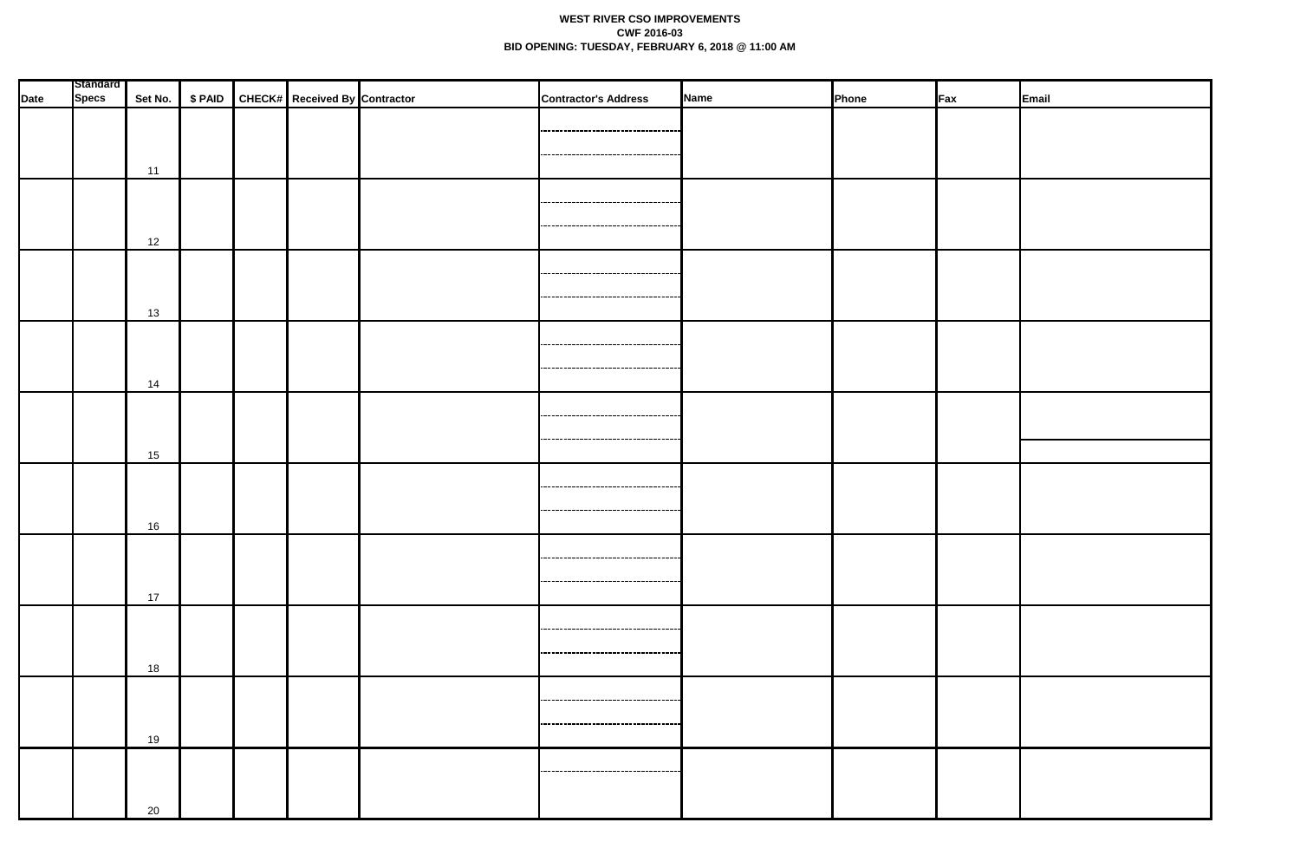## **WEST RIVER CSO IMPROVEMENTS CWF 2016-03 BID OPENING: TUESDAY, FEBRUARY 6, 2018 @ 11:00 AM**

| <b>Specs</b><br>Set No.   \$ PAID   CHECK#   Received By Contractor<br>Name<br>Email<br>Phone<br>Fax<br>------------------------------------<br>------------------------------------<br>11<br><br>12<br> |      | <b>Standard</b> |  |  |  |                             |  |  |  |
|----------------------------------------------------------------------------------------------------------------------------------------------------------------------------------------------------------|------|-----------------|--|--|--|-----------------------------|--|--|--|
|                                                                                                                                                                                                          | Date |                 |  |  |  | <b>Contractor's Address</b> |  |  |  |
|                                                                                                                                                                                                          |      |                 |  |  |  |                             |  |  |  |
|                                                                                                                                                                                                          |      |                 |  |  |  |                             |  |  |  |
|                                                                                                                                                                                                          |      |                 |  |  |  |                             |  |  |  |
|                                                                                                                                                                                                          |      |                 |  |  |  |                             |  |  |  |
|                                                                                                                                                                                                          |      |                 |  |  |  |                             |  |  |  |
|                                                                                                                                                                                                          |      |                 |  |  |  |                             |  |  |  |
|                                                                                                                                                                                                          |      |                 |  |  |  |                             |  |  |  |
|                                                                                                                                                                                                          |      |                 |  |  |  |                             |  |  |  |
|                                                                                                                                                                                                          |      |                 |  |  |  |                             |  |  |  |
| -----------------------------------                                                                                                                                                                      |      |                 |  |  |  |                             |  |  |  |
| 13                                                                                                                                                                                                       |      |                 |  |  |  |                             |  |  |  |
|                                                                                                                                                                                                          |      |                 |  |  |  |                             |  |  |  |
| ---------------------------------                                                                                                                                                                        |      |                 |  |  |  |                             |  |  |  |
|                                                                                                                                                                                                          |      |                 |  |  |  |                             |  |  |  |
| 14                                                                                                                                                                                                       |      |                 |  |  |  |                             |  |  |  |
|                                                                                                                                                                                                          |      |                 |  |  |  |                             |  |  |  |
| ,,,,,,,,,,,,,,,,,,,,,,,,,,,,,,,,,,,,                                                                                                                                                                     |      |                 |  |  |  |                             |  |  |  |
| ------------------------------                                                                                                                                                                           |      |                 |  |  |  |                             |  |  |  |
| 15                                                                                                                                                                                                       |      |                 |  |  |  |                             |  |  |  |
|                                                                                                                                                                                                          |      |                 |  |  |  |                             |  |  |  |
| ---------------------------------                                                                                                                                                                        |      |                 |  |  |  |                             |  |  |  |
| ,,,,,,,,,,,,,,,,,,,,,,,,,,,,,,,,,,,                                                                                                                                                                      |      |                 |  |  |  |                             |  |  |  |
| 16                                                                                                                                                                                                       |      |                 |  |  |  |                             |  |  |  |
|                                                                                                                                                                                                          |      |                 |  |  |  |                             |  |  |  |
| ------------------------------------                                                                                                                                                                     |      |                 |  |  |  |                             |  |  |  |
| ----------------------------------                                                                                                                                                                       |      |                 |  |  |  |                             |  |  |  |
| 17                                                                                                                                                                                                       |      |                 |  |  |  |                             |  |  |  |
| ------------------------------------                                                                                                                                                                     |      |                 |  |  |  |                             |  |  |  |
|                                                                                                                                                                                                          |      |                 |  |  |  |                             |  |  |  |
| ------------------------------------                                                                                                                                                                     |      |                 |  |  |  |                             |  |  |  |
| 18                                                                                                                                                                                                       |      |                 |  |  |  |                             |  |  |  |
| ,,,,,,,,,,,,,,,,,,,,,,,,,,,,,,,,,,                                                                                                                                                                       |      |                 |  |  |  |                             |  |  |  |
|                                                                                                                                                                                                          |      |                 |  |  |  |                             |  |  |  |
| -----------------------------------                                                                                                                                                                      |      |                 |  |  |  |                             |  |  |  |
| 19                                                                                                                                                                                                       |      |                 |  |  |  |                             |  |  |  |
|                                                                                                                                                                                                          |      |                 |  |  |  |                             |  |  |  |
|                                                                                                                                                                                                          |      |                 |  |  |  |                             |  |  |  |
| 20                                                                                                                                                                                                       |      |                 |  |  |  |                             |  |  |  |